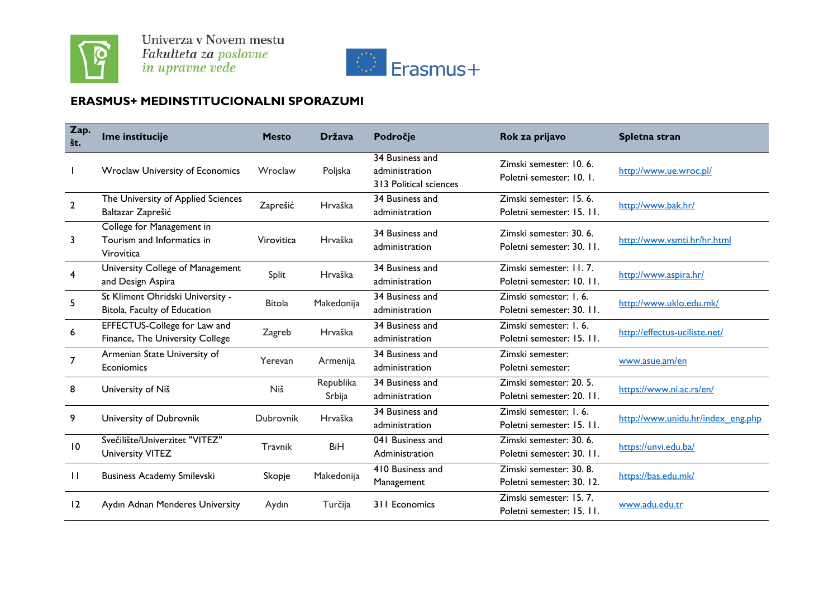



## **ERASMUS+ MEDINSTITUCIONALNI SPORAZUMI**

| Zap.<br>št.  | Ime institucije                                                       | <b>Mesto</b>  | <b>Država</b>       | Področje                                                    | Rok za prijavo                                       | Spletna stran                     |
|--------------|-----------------------------------------------------------------------|---------------|---------------------|-------------------------------------------------------------|------------------------------------------------------|-----------------------------------|
|              | Wroclaw University of Economics                                       | Wroclaw       | Poljska             | 34 Business and<br>administration<br>313 Political sciences | Zimski semester: 10.6.<br>Poletni semester: 10. 1.   | http://www.ue.wroc.pl/            |
| $\mathbf{2}$ | The University of Applied Sciences<br>Baltazar Zaprešić               | Zaprešić      | Hrvaška             | 34 Business and<br>administration                           | Zimski semester: 15.6.<br>Poletni semester: 15. 11.  | http://www.bak.hr/                |
| 3            | College for Management in<br>Tourism and Informatics in<br>Virovitica | Virovitica    | Hrvaška             | 34 Business and<br>administration                           | Zimski semester: 30, 6.<br>Poletni semester: 30. II. | http://www.vsmti.hr/hr.html       |
| 4            | University College of Management<br>and Design Aspira                 | Split         | Hrvaška             | 34 Business and<br>administration                           | Zimski semester: 11, 7.<br>Poletni semester: 10. 11. | http://www.aspira.hr/             |
| 5            | St Kliment Ohridski University -<br>Bitola, Faculty of Education      | <b>Bitola</b> | Makedonija          | 34 Business and<br>administration                           | Zimski semester: 1.6.<br>Poletni semester: 30. 11.   | http://www.uklo.edu.mk/           |
| 6            | EFFECTUS-College for Law and<br>Finance, The University College       | Zagreb        | Hrvaška             | 34 Business and<br>administration                           | Zimski semester: 1, 6.<br>Poletni semester: 15. 11.  | http://effectus-uciliste.net/     |
| 7            | Armenian State University of<br>Econiomics                            | Yerevan       | Armenija            | 34 Business and<br>administration                           | Zimski semester:<br>Poletni semester:                | www.asue.am/en                    |
| 8            | University of Niš                                                     | Niš           | Republika<br>Srbija | 34 Business and<br>administration                           | Zimski semester: 20, 5.<br>Poletni semester: 20. II. | https://www.ni.ac.rs/en/          |
| 9            | University of Dubrovnik                                               | Dubrovnik     | Hrvaška             | 34 Business and<br>administration                           | Zimski semester: 1, 6.<br>Poletni semester: 15. 11.  | http://www.unidu.hr/index_eng.php |
| 10           | Svečilište/Univerzitet "VITEZ"<br><b>University VITEZ</b>             | Travnik       | <b>BiH</b>          | 041 Business and<br>Administration                          | Zimski semester: 30.6.<br>Poletni semester: 30. 11.  | https://unvi.edu.ba/              |
| $\mathbf{H}$ | <b>Business Academy Smilevski</b>                                     | Skopje        | Makedonija          | 410 Business and<br>Management                              | Zimski semester: 30, 8.<br>Poletni semester: 30. 12. | https://bas.edu.mk/               |
| 12           | Aydın Adnan Menderes University                                       | Aydın         | Turčija             | 311 Economics                                               | Zimski semester: 15.7.<br>Poletni semester: 15. 11.  | www.adu.edu.tr                    |